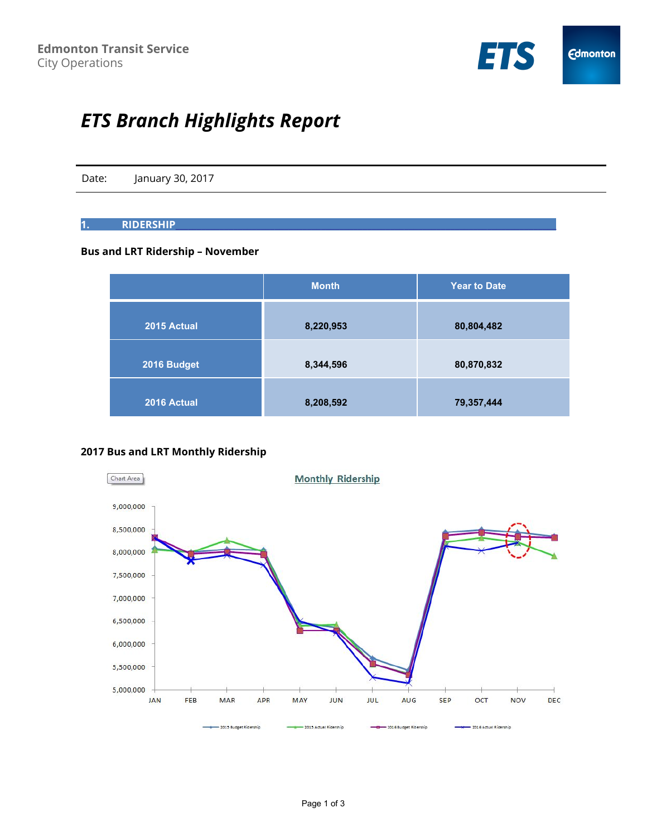

# *ETS Branch Highlights Report*

Date: January 30, 2017

# **1. RIDERSHIP\_\_\_\_\_\_**\_\_\_\_\_\_\_\_\_\_\_\_\_\_\_\_\_\_\_\_\_\_\_\_\_\_\_\_\_\_\_\_\_\_\_\_\_\_\_\_\_\_\_\_\_\_\_\_\_\_\_\_\_\_\_\_\_\_\_\_\_\_\_\_\_\_\_\_\_\_\_\_\_\_\_\_\_

#### **Bus and LRT Ridership – November**

|             | <b>Month</b> | <b>Year to Date</b> |
|-------------|--------------|---------------------|
| 2015 Actual | 8,220,953    | 80,804,482          |
| 2016 Budget | 8,344,596    | 80,870,832          |
| 2016 Actual | 8,208,592    | 79,357,444          |

# **2017 Bus and LRT Monthly Ridership**

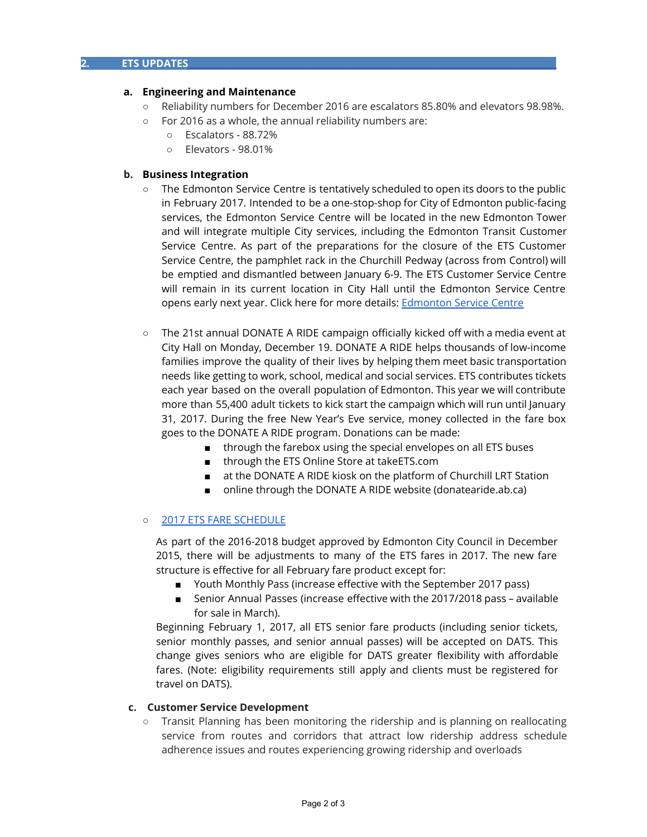#### **a. Engineering and Maintenance**

- Reliability numbers for December 2016 are escalators 85.80% and elevators 98.98%.
- For 2016 as a whole, the annual reliability numbers are:
	- Escalators 88.72%
	- Elevators 98.01%

#### **b. Business Integration**

- The Edmonton Service Centre is tentatively scheduled to open its doors to the public in February 2017. Intended to be a one-stop-shop for City of Edmonton public-facing services, the Edmonton Service Centre will be located in the new Edmonton Tower and will integrate multiple City services, including the Edmonton Transit Customer Service Centre. As part of the preparations for the closure of the ETS Customer Service Centre, the pamphlet rack in the Churchill Pedway (across from Control) will be emptied and dismantled between January 6-9. The ETS Customer Service Centre will remain in its current location in City Hall until the Edmonton Service Centre opens early next year. Click here for more details: [Edmonton Service Centre](https://www.edmonton.ca/projects_plans/edmonton_tower/service-centre.aspx)
- The 21st annual DONATE A RIDE campaign officially kicked off with a media event at City Hall on Monday, December 19. DONATE A RIDE helps thousands of low-income families improve the quality of their lives by helping them meet basic transportation needs like getting to work, school, medical and social services. ETS contributes tickets each year based on the overall population of Edmonton. This year we will contribute more than 55,400 adult tickets to kick start the campaign which will run until January 31, 2017. During the free New Year's Eve service, money collected in the fare box goes to the DONATE A RIDE program. Donations can be made:
	- through the farebox using the special envelopes on all ETS buses
	- through the ETS Online Store at takeETS.com
	- at the DONATE A RIDE kiosk on the platform of Churchill LRT Station
	- online through the DONATE A RIDE website (donatearide.ab.ca)

#### ○ [2017 ETS FARE SCHEDULE](https://www.edmonton.ca/ets/fares-passes.aspx)

As part of the 2016-2018 budget approved by Edmonton City Council in December 2015, there will be adjustments to many of the ETS fares in 2017. The new fare structure is effective for all February fare product except for:

- Youth Monthly Pass (increase effective with the September 2017 pass)
- Senior Annual Passes (increase effective with the 2017/2018 pass available for sale in March).

Beginning February 1, 2017, all ETS senior fare products (including senior tickets, senior monthly passes, and senior annual passes) will be accepted on DATS. This change gives seniors who are eligible for DATS greater flexibility with affordable fares. (Note: eligibility requirements still apply and clients must be registered for travel on DATS).

#### **c. Customer Service Development**

**○** Transit Planning has been monitoring the ridership and is planning on reallocating service from routes and corridors that attract low ridership address schedule adherence issues and routes experiencing growing ridership and overloads